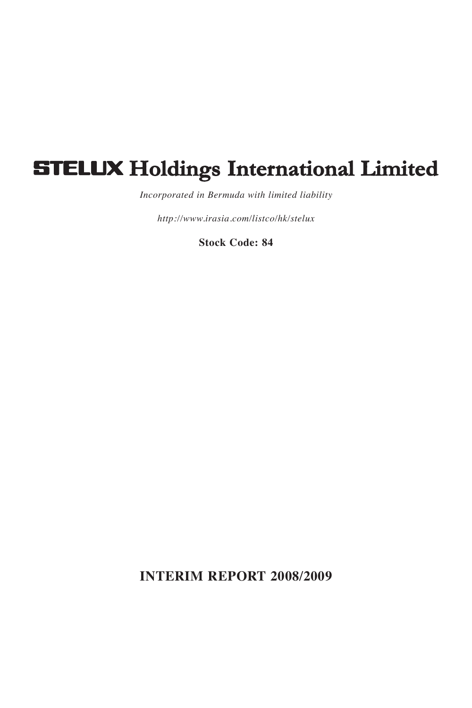# **STELUX Holdings International Limited**

*Incorporated in Bermuda with limited liability*

*http://www.irasia.com/listco/hk/stelux*

**Stock Code: 84**

**INTERIM REPORT 2008/2009**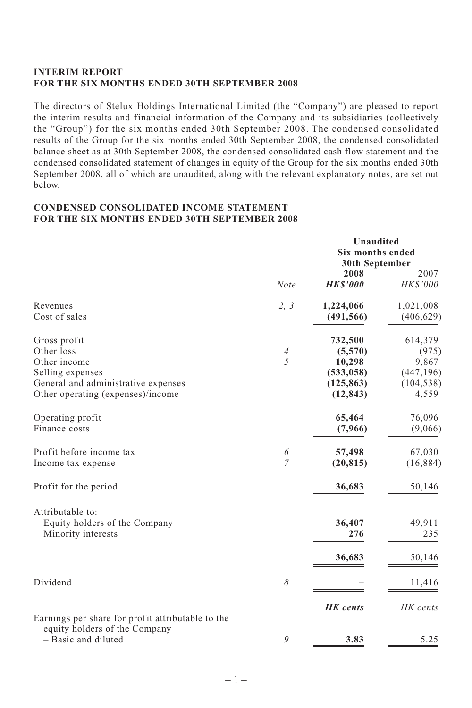# **INTERIM REPORT FOR THE SIX MONTHS ENDED 30TH SEPTEMBER 2008**

The directors of Stelux Holdings International Limited (the "Company") are pleased to report the interim results and financial information of the Company and its subsidiaries (collectively the "Group") for the six months ended 30th September 2008. The condensed consolidated results of the Group for the six months ended 30th September 2008, the condensed consolidated balance sheet as at 30th September 2008, the condensed consolidated cash flow statement and the condensed consolidated statement of changes in equity of the Group for the six months ended 30th September 2008, all of which are unaudited, along with the relevant explanatory notes, are set out below.

#### **CONDENSED CONSOLIDATED INCOME STATEMENT FOR THE SIX MONTHS ENDED 30TH SEPTEMBER 2008**

|                                                                                              | Unaudited<br><b>Six months ended</b><br>30th September |                                       |                                   |  |
|----------------------------------------------------------------------------------------------|--------------------------------------------------------|---------------------------------------|-----------------------------------|--|
|                                                                                              | <b>Note</b>                                            | 2008<br><b>HKS'000</b>                | 2007<br>HK\$'000                  |  |
| Revenues<br>Cost of sales                                                                    | 2, 3                                                   | 1,224,066<br>(491, 566)               | 1,021,008<br>(406, 629)           |  |
| Gross profit                                                                                 |                                                        | 732,500                               | 614,379                           |  |
| Other loss<br>Other income                                                                   | $\overline{4}$<br>5                                    | (5,570)<br>10,298                     | (975)<br>9,867                    |  |
| Selling expenses<br>General and administrative expenses<br>Other operating (expenses)/income |                                                        | (533, 058)<br>(125, 863)<br>(12, 843) | (447, 196)<br>(104, 538)<br>4,559 |  |
| Operating profit<br>Finance costs                                                            |                                                        | 65,464<br>(7,966)                     | 76,096<br>(9,066)                 |  |
| Profit before income tax<br>Income tax expense                                               | 6<br>$\overline{7}$                                    | 57,498<br>(20, 815)                   | 67,030<br>(16, 884)               |  |
| Profit for the period                                                                        |                                                        | 36,683                                | 50,146                            |  |
| Attributable to:<br>Equity holders of the Company<br>Minority interests                      |                                                        | 36,407<br>276                         | 49,911<br>235                     |  |
|                                                                                              |                                                        | 36,683                                | 50,146                            |  |
| Dividend                                                                                     | 8                                                      |                                       | 11,416                            |  |
| Earnings per share for profit attributable to the                                            |                                                        | <b>HK</b> cents                       | HK cents                          |  |
| equity holders of the Company<br>- Basic and diluted                                         | 9                                                      | 3.83                                  | 5.25                              |  |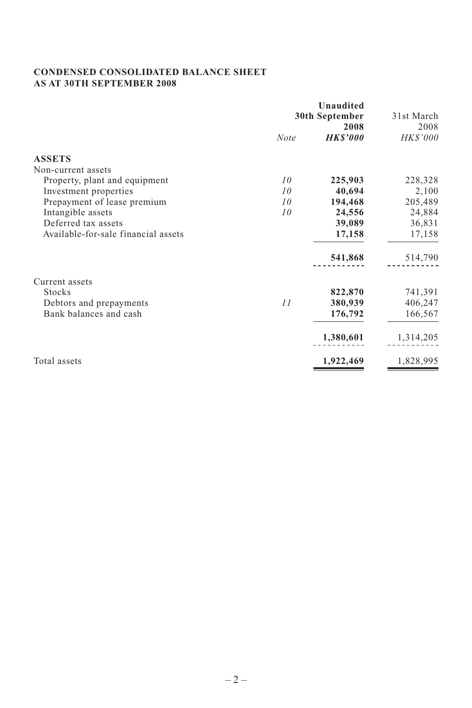# **CONDENSED CONSOLIDATED BALANCE SHEET AS AT 30TH SEPTEMBER 2008**

|                                     |             | Unaudited       |            |
|-------------------------------------|-------------|-----------------|------------|
|                                     |             | 30th September  | 31st March |
|                                     |             | 2008            | 2008       |
|                                     | <b>Note</b> | <b>HK\$'000</b> | HK\$'000   |
| <b>ASSETS</b>                       |             |                 |            |
| Non-current assets                  |             |                 |            |
| Property, plant and equipment       | 10          | 225,903         | 228,328    |
| Investment properties               | 10          | 40,694          | 2,100      |
| Prepayment of lease premium         | 10          | 194,468         | 205,489    |
| Intangible assets                   | 10          | 24,556          | 24,884     |
| Deferred tax assets                 |             | 39,089          | 36,831     |
| Available-for-sale financial assets |             | 17,158          | 17,158     |
|                                     |             | 541,868         | 514,790    |
| Current assets                      |             |                 |            |
| <b>Stocks</b>                       |             | 822,870         | 741,391    |
| Debtors and prepayments             | 11          | 380,939         | 406,247    |
| Bank balances and cash              |             | 176,792         | 166,567    |
|                                     |             | 1,380,601       | 1,314,205  |
| Total assets                        |             | 1,922,469       | 1,828,995  |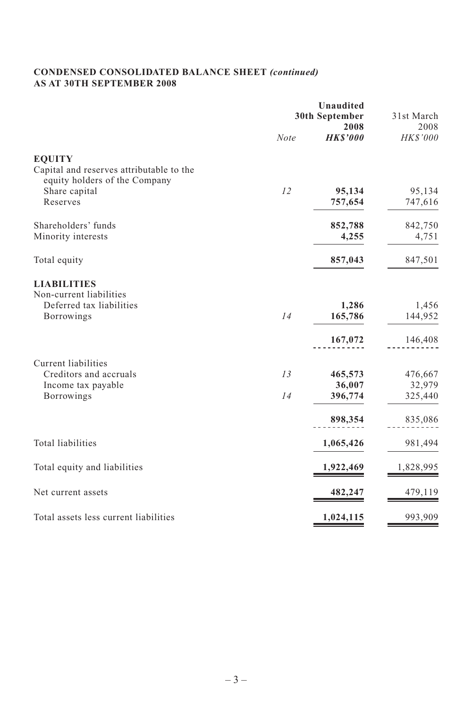# **CONDENSED CONSOLIDATED BALANCE SHEET** *(continued)* **AS AT 30TH SEPTEMBER 2008**

|                                                                                            | Unaudited<br>30th September |                              | 31st March                   |
|--------------------------------------------------------------------------------------------|-----------------------------|------------------------------|------------------------------|
|                                                                                            | Note                        | 2008<br><b>HKS'000</b>       | 2008<br>HK\$'000             |
| <b>EQUITY</b><br>Capital and reserves attributable to the<br>equity holders of the Company |                             |                              |                              |
| Share capital<br>Reserves                                                                  | 12                          | 95,134<br>757,654            | 95,134<br>747,616            |
| Shareholders' funds<br>Minority interests                                                  |                             | 852,788<br>4,255             | 842,750<br>4,751             |
| Total equity                                                                               |                             | 857,043                      | 847,501                      |
| <b>LIABILITIES</b><br>Non-current liabilities<br>Deferred tax liabilities<br>Borrowings    | 14                          | 1,286<br>165,786             | 1,456<br>144,952             |
|                                                                                            |                             | 167,072                      | 146,408                      |
| Current liabilities<br>Creditors and accruals<br>Income tax payable<br><b>Borrowings</b>   | 13<br>14                    | 465,573<br>36,007<br>396,774 | 476,667<br>32,979<br>325,440 |
|                                                                                            |                             | 898,354                      | 835,086                      |
| <b>Total liabilities</b>                                                                   |                             | 1,065,426                    | 981,494                      |
| Total equity and liabilities                                                               |                             | 1,922,469                    | 1,828,995                    |
| Net current assets                                                                         |                             | 482,247                      | 479,119                      |
| Total assets less current liabilities                                                      |                             | 1,024,115                    | 993,909                      |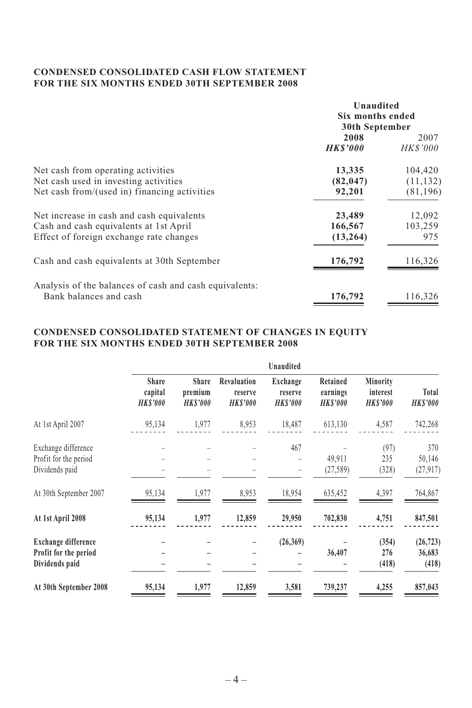# **CONDENSED CONSOLIDATED CASH FLOW STATEMENT FOR THE SIX MONTHS ENDED 30TH SEPTEMBER 2008**

|                                                                                                                                | Unaudited<br>Six months ended<br>30th September |                                   |
|--------------------------------------------------------------------------------------------------------------------------------|-------------------------------------------------|-----------------------------------|
|                                                                                                                                | 2008<br><b>HKS'000</b>                          | 2007<br>HK\$'000                  |
| Net cash from operating activities<br>Net cash used in investing activities<br>Net cash from/(used in) financing activities    | 13,335<br>(82, 047)<br>92,201                   | 104,420<br>(11, 132)<br>(81, 196) |
| Net increase in cash and cash equivalents<br>Cash and cash equivalents at 1st April<br>Effect of foreign exchange rate changes | 23,489<br>166,567<br>(13, 264)                  | 12,092<br>103,259<br>975          |
| Cash and cash equivalents at 30th September                                                                                    | 176,792                                         | 116,326                           |
| Analysis of the balances of cash and cash equivalents:<br>Bank balances and cash                                               | 176,792                                         | 116,326                           |

# **CONDENSED CONSOLIDATED STATEMENT OF CHANGES IN EQUITY FOR THE SIX MONTHS ENDED 30TH SEPTEMBER 2008**

|                                                                |                                           |                                     |                                          | Unaudited                              |                                         |                                        |                              |
|----------------------------------------------------------------|-------------------------------------------|-------------------------------------|------------------------------------------|----------------------------------------|-----------------------------------------|----------------------------------------|------------------------------|
|                                                                | <b>Share</b><br>capital<br><b>HKS'000</b> | Share<br>premium<br><b>HK\$'000</b> | Revaluation<br>reserve<br><b>HKS'000</b> | Exchange<br>reserve<br><b>HK\$'000</b> | Retained<br>earnings<br><b>HK\$'000</b> | Minority<br>interest<br><b>HKS'000</b> | Total<br><b>HKS'000</b>      |
| At 1st April 2007                                              | 95,134                                    | 1,977                               | 8,953                                    | 18,487                                 | 613,130                                 | 4,587                                  | 742,268                      |
| Exchange difference<br>Profit for the period<br>Dividends paid |                                           |                                     |                                          | 467                                    | 49,911<br>(27, 589)                     | (97)<br>235<br>(328)                   | 370<br>50,146<br>(27, 917)   |
| At 30th September 2007                                         | 95,134                                    | 1,977                               | 8,953                                    | 18,954                                 | 635,452                                 | 4,397                                  | 764,867                      |
| At 1st April 2008                                              | 95,134                                    | 1,977                               | 12,859                                   | 29,950                                 | 702,830                                 | 4,751                                  | 847,501                      |
| Exchange difference<br>Profit for the period<br>Dividends paid |                                           |                                     |                                          | (26,369)                               | 36,407                                  | (354)<br>276<br>(418)                  | (26, 723)<br>36,683<br>(418) |
| At 30th September 2008                                         | 95,134                                    | 1,977                               | 12,859                                   | 3,581                                  | 739,237                                 | 4,255                                  | 857,043                      |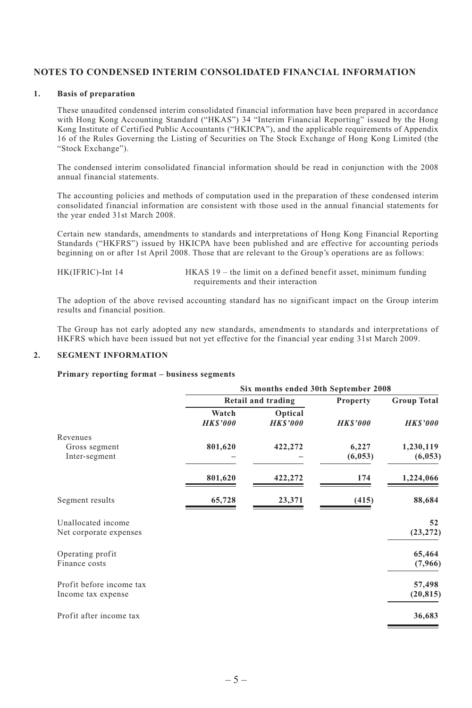# **NOTES TO CONDENSED INTERIM CONSOLIDATED FINANCIAL INFORMATION**

#### **1. Basis of preparation**

These unaudited condensed interim consolidated financial information have been prepared in accordance with Hong Kong Accounting Standard ("HKAS") 34 "Interim Financial Reporting" issued by the Hong Kong Institute of Certified Public Accountants ("HKICPA"), and the applicable requirements of Appendix 16 of the Rules Governing the Listing of Securities on The Stock Exchange of Hong Kong Limited (the "Stock Exchange").

The condensed interim consolidated financial information should be read in conjunction with the 2008 annual financial statements.

The accounting policies and methods of computation used in the preparation of these condensed interim consolidated financial information are consistent with those used in the annual financial statements for the year ended 31st March 2008.

Certain new standards, amendments to standards and interpretations of Hong Kong Financial Reporting Standards ("HKFRS") issued by HKICPA have been published and are effective for accounting periods beginning on or after 1st April 2008. Those that are relevant to the Group's operations are as follows:

- 
- HK(IFRIC)-Int 14 HKAS 19 the limit on a defined benefit asset, minimum funding requirements and their interaction

The adoption of the above revised accounting standard has no significant impact on the Group interim results and financial position.

The Group has not early adopted any new standards, amendments to standards and interpretations of HKFRS which have been issued but not yet effective for the financial year ending 31st March 2009.

#### **2. SEGMENT INFORMATION**

#### **Primary reporting format – business segments**

|                          |                          | Six months ended 30th September 2008 |                |                    |
|--------------------------|--------------------------|--------------------------------------|----------------|--------------------|
|                          |                          | Retail and trading                   | Property       | <b>Group Total</b> |
|                          | Watch<br><b>HK\$'000</b> | Optical<br><b>HKS'000</b>            | <b>HKS'000</b> | <b>HK\$'000</b>    |
| Revenues                 |                          |                                      |                |                    |
| Gross segment            | 801,620                  | 422,272                              | 6,227          | 1,230,119          |
| Inter-segment            |                          |                                      | (6, 053)       | (6,053)            |
|                          | 801,620                  | 422,272                              | 174            | 1,224,066          |
| Segment results          | 65,728                   | 23,371                               | (415)          | 88,684             |
| Unallocated income       |                          |                                      |                | 52                 |
| Net corporate expenses   |                          |                                      |                | (23, 272)          |
| Operating profit         |                          |                                      |                | 65,464             |
| Finance costs            |                          |                                      |                | (7,966)            |
| Profit before income tax |                          |                                      |                | 57,498             |
| Income tax expense       |                          |                                      |                | (20, 815)          |
| Profit after income tax  |                          |                                      |                | 36,683             |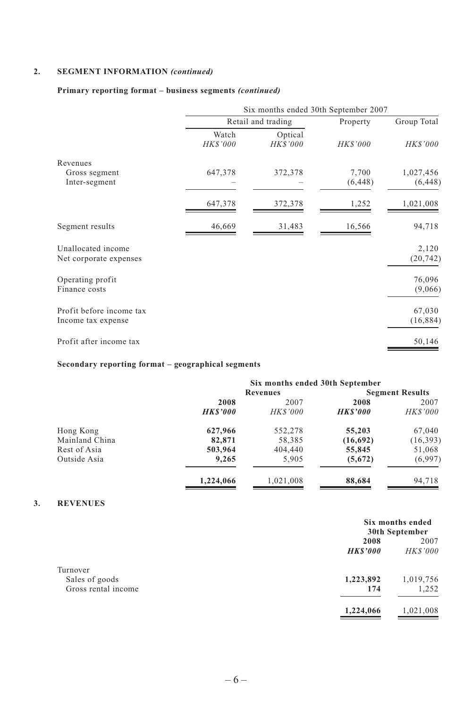#### **2. SEGMENT INFORMATION** *(continued)*

# **Primary reporting format – business segments** *(continued)*

|                                                |                          | Six months ended 30th September 2007 |                   |                       |
|------------------------------------------------|--------------------------|--------------------------------------|-------------------|-----------------------|
|                                                |                          | Retail and trading                   | Property          | Group Total           |
|                                                | Watch<br><b>HK\$'000</b> | Optical<br>HK\$'000                  | <b>HK\$'000</b>   | <b>HK\$'000</b>       |
| Revenues                                       |                          |                                      |                   |                       |
| Gross segment<br>Inter-segment                 | 647,378                  | 372,378                              | 7,700<br>(6, 448) | 1,027,456<br>(6, 448) |
|                                                | 647,378                  | 372,378                              | 1,252             | 1,021,008             |
| Segment results                                | 46,669                   | 31,483                               | 16,566            | 94,718                |
| Unallocated income<br>Net corporate expenses   |                          |                                      |                   | 2,120<br>(20, 742)    |
| Operating profit<br>Finance costs              |                          |                                      |                   | 76,096<br>(9,066)     |
| Profit before income tax<br>Income tax expense |                          |                                      |                   | 67,030<br>(16, 884)   |
| Profit after income tax                        |                          |                                      |                   | 50,146                |

# **Secondary reporting format – geographical segments**

|                | Six months ended 30th September |                 |                |                        |
|----------------|---------------------------------|-----------------|----------------|------------------------|
|                |                                 | Revenues        |                | <b>Segment Results</b> |
|                | 2008                            | 2007            | 2008           | 2007                   |
|                | <b>HKS'000</b>                  | <b>HK\$'000</b> | <b>HKS'000</b> | <b>HK\$'000</b>        |
| Hong Kong      | 627,966                         | 552,278         | 55,203         | 67,040                 |
| Mainland China | 82,871                          | 58,385          | (16,692)       | (16, 393)              |
| Rest of Asia   | 503,964                         | 404,440         | 55,845         | 51,068                 |
| Outside Asia   | 9,265                           | 5.905           | (5,672)        | (6,997)                |
|                | 1,224,066                       | 1,021,008       | 88,684         | 94.718                 |

#### **3. REVENUES**

|                     | Six months ended<br>30th September |                |  |
|---------------------|------------------------------------|----------------|--|
|                     | 2008                               | 2007           |  |
|                     | <b>HKS'000</b>                     | <b>HKS'000</b> |  |
| Turnover            |                                    |                |  |
| Sales of goods      | 1,223,892                          | 1,019,756      |  |
| Gross rental income | 174                                | 1,252          |  |
|                     | 1,224,066                          | 1,021,008      |  |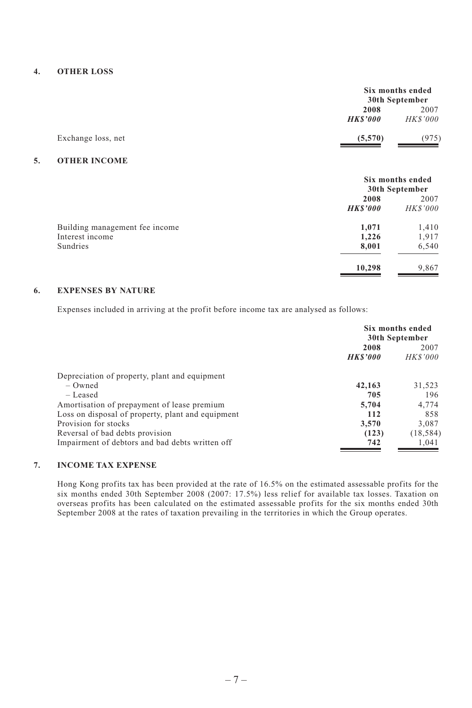#### **4. OTHER LOSS**

|                    |                        | Six months ended<br>30th September |  |
|--------------------|------------------------|------------------------------------|--|
|                    | 2008<br><b>HKS'000</b> | 2007<br><b>HK\$'000</b>            |  |
| Exchange loss, net | (5,570)                | (975)                              |  |

#### **5. OTHER INCOME**

|                                | Six months ended<br>30th September |                 |
|--------------------------------|------------------------------------|-----------------|
|                                | 2008                               | 2007            |
|                                | <b>HKS'000</b>                     | <b>HK\$'000</b> |
| Building management fee income | 1,071                              | 1,410           |
| Interest income                | 1,226                              | 1,917           |
| Sundries                       | 8,001                              | 6,540           |
|                                | 10,298                             | 9,867           |

# **6. EXPENSES BY NATURE**

Expenses included in arriving at the profit before income tax are analysed as follows:

|                                                   | Six months ended<br>30th September |                         |
|---------------------------------------------------|------------------------------------|-------------------------|
|                                                   | 2008<br><b>HKS'000</b>             | 2007<br><b>HK\$'000</b> |
| Depreciation of property, plant and equipment     |                                    |                         |
| $-$ Owned                                         | 42,163                             | 31,523                  |
| $-$ Leased                                        | 705                                | 196                     |
| Amortisation of prepayment of lease premium       | 5,704                              | 4.774                   |
| Loss on disposal of property, plant and equipment | 112                                | 858                     |
| Provision for stocks                              | 3.570                              | 3,087                   |
| Reversal of bad debts provision                   | (123)                              | (18, 584)               |
| Impairment of debtors and bad debts written off   | 742                                | 1.041                   |

# **7. INCOME TAX EXPENSE**

Hong Kong profits tax has been provided at the rate of 16.5% on the estimated assessable profits for the six months ended 30th September 2008 (2007: 17.5%) less relief for available tax losses. Taxation on overseas profits has been calculated on the estimated assessable profits for the six months ended 30th September 2008 at the rates of taxation prevailing in the territories in which the Group operates.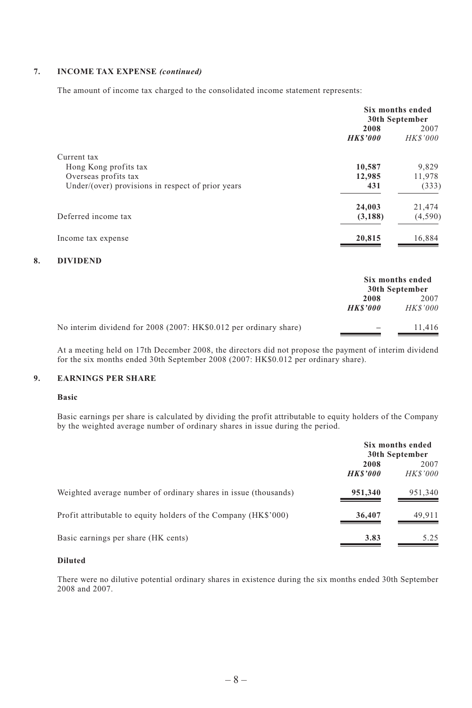#### **7. INCOME TAX EXPENSE** *(continued)*

The amount of income tax charged to the consolidated income statement represents:

|                                                   | Six months ended<br>30th September |                        |
|---------------------------------------------------|------------------------------------|------------------------|
|                                                   | 2008<br><b>HKS'000</b>             | 2007<br><b>HKS'000</b> |
| Current tax                                       |                                    |                        |
| Hong Kong profits tax                             | 10,587                             | 9,829                  |
| Overseas profits tax                              | 12,985                             | 11,978                 |
| Under/(over) provisions in respect of prior years | 431                                | (333)                  |
|                                                   | 24,003                             | 21,474                 |
| Deferred income tax                               | (3, 188)                           | (4,590)                |
| Income tax expense                                | 20,815                             | 16,884                 |

#### **8. DIVIDEND**

|                                                                   |                        | Six months ended<br>30th September |
|-------------------------------------------------------------------|------------------------|------------------------------------|
|                                                                   | 2008<br><b>HKS'000</b> | 2007<br><b>HKS'000</b>             |
| No interim dividend for 2008 (2007: HK\$0.012 per ordinary share) |                        | 11.416                             |

At a meeting held on 17th December 2008, the directors did not propose the payment of interim dividend for the six months ended 30th September 2008 (2007: HK\$0.012 per ordinary share).

#### **9. EARNINGS PER SHARE**

#### **Basic**

Basic earnings per share is calculated by dividing the profit attributable to equity holders of the Company by the weighted average number of ordinary shares in issue during the period.

|                                                                 | Six months ended<br>30th September |                        |
|-----------------------------------------------------------------|------------------------------------|------------------------|
|                                                                 | 2008<br><b>HKS'000</b>             | 2007<br><b>HKS'000</b> |
| Weighted average number of ordinary shares in issue (thousands) | 951,340                            | 951,340                |
| Profit attributable to equity holders of the Company (HK\$'000) | 36,407                             | 49.911                 |
| Basic earnings per share (HK cents)                             | 3.83                               | 5.25                   |

#### **Diluted**

There were no dilutive potential ordinary shares in existence during the six months ended 30th September 2008 and 2007.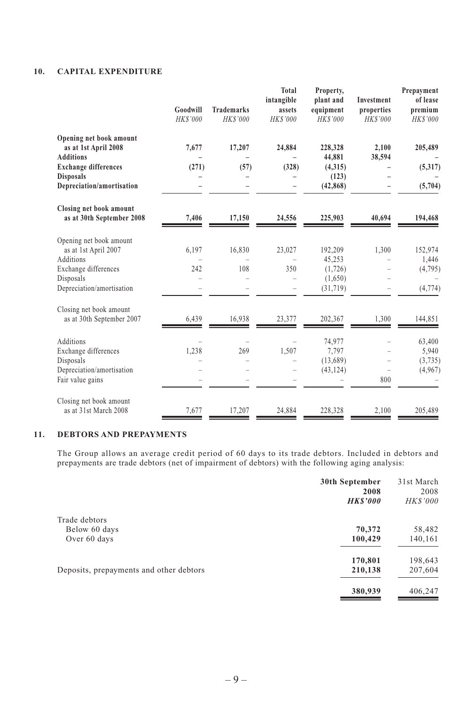# **10. CAPITAL EXPENDITURE**

|                                                                                                                                                     | Goodwill<br>HK\$'000 | <b>Trademarks</b><br>HK\$'000 | <b>Total</b><br>intangible<br>assets<br>HK\$'000 | Property,<br>plant and<br>equipment<br>HK\$'000       | Investment<br>properties<br>HK\$'000 | Prepayment<br>of lease<br>premium<br>HKS'000 |
|-----------------------------------------------------------------------------------------------------------------------------------------------------|----------------------|-------------------------------|--------------------------------------------------|-------------------------------------------------------|--------------------------------------|----------------------------------------------|
| Opening net book amount<br>as at 1st April 2008<br><b>Additions</b><br><b>Exchange differences</b><br><b>Disposals</b><br>Depreciation/amortisation | 7,677<br>(271)       | 17,207<br>(57)                | 24,884<br>(328)                                  | 228,328<br>44,881<br>(4,315)<br>(123)<br>(42, 868)    | 2,100<br>38,594                      | 205,489<br>(5,317)<br>(5,704)                |
| Closing net book amount<br>as at 30th September 2008                                                                                                | 7,406                | 17,150                        | 24,556                                           | 225,903                                               | 40,694                               | 194,468                                      |
| Opening net book amount<br>as at 1st April 2007<br>Additions<br>Exchange differences<br>Disposals<br>Depreciation/amortisation                      | 6,197<br>242         | 16,830<br>108                 | 23,027<br>350                                    | 192,209<br>45,253<br>(1, 726)<br>(1,650)<br>(31, 719) | 1.300                                | 152,974<br>1,446<br>(4,795)<br>(4, 774)      |
| Closing net book amount<br>as at 30th September 2007                                                                                                | 6,439                | 16,938                        | 23,377                                           | 202,367                                               | 1,300                                | 144,851                                      |
| Additions<br>Exchange differences<br>Disposals<br>Depreciation/amortisation<br>Fair value gains                                                     | 1,238                | 269                           | 1,507                                            | 74,977<br>7,797<br>(13,689)<br>(43, 124)              | 800                                  | 63,400<br>5,940<br>(3,735)<br>(4,967)        |
| Closing net book amount<br>as at 31st March 2008                                                                                                    | 7,677                | 17,207                        | 24,884                                           | 228,328                                               | 2,100                                | 205,489                                      |

#### **11. DEBTORS AND PREPAYMENTS**

The Group allows an average credit period of 60 days to its trade debtors. Included in debtors and prepayments are trade debtors (net of impairment of debtors) with the following aging analysis:

|                                         | 30th September<br>2008 | 31st March<br>2008 |
|-----------------------------------------|------------------------|--------------------|
|                                         | <b>HKS'000</b>         | <b>HKS'000</b>     |
| Trade debtors                           |                        |                    |
| Below 60 days                           | 70,372                 | 58,482             |
| Over 60 days                            | 100,429                | 140,161            |
|                                         | 170,801                | 198,643            |
| Deposits, prepayments and other debtors | 210,138                | 207,604            |
|                                         | 380,939                | 406,247            |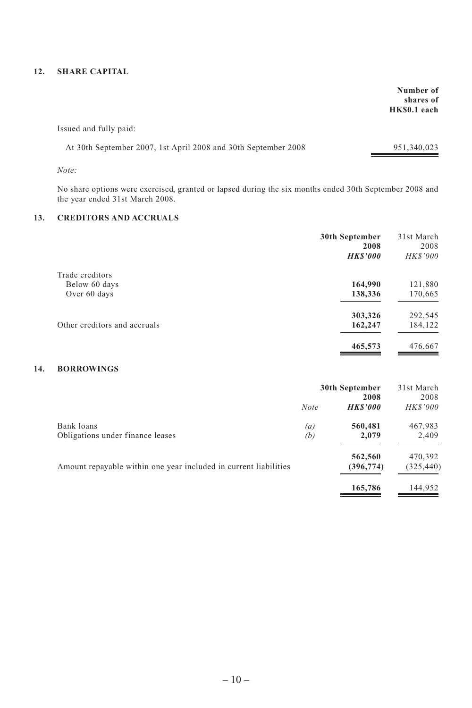### **12. SHARE CAPITAL**

 **Number of shares of HK\$0.1 each**

Issued and fully paid:

| At 30th September 2007, 1st April 2008 and 30th September 2008 | 951,340,023 |
|----------------------------------------------------------------|-------------|
|----------------------------------------------------------------|-------------|

*Note:*

No share options were exercised, granted or lapsed during the six months ended 30th September 2008 and the year ended 31st March 2008.

# **13. CREDITORS AND ACCRUALS**

|                              | 30th September<br>2008 | 31st March<br>2008 |
|------------------------------|------------------------|--------------------|
|                              | <b>HKS'000</b>         | <b>HKS'000</b>     |
| Trade creditors              |                        |                    |
| Below 60 days                | 164,990                | 121,880            |
| Over 60 days                 | 138,336                | 170,665            |
|                              | 303,326                | 292,545            |
| Other creditors and accruals | 162,247                | 184,122            |
|                              | 465,573                | 476,667            |

# **14. BORROWINGS**

|                                                                  | 30th September |                        | 31st March              |
|------------------------------------------------------------------|----------------|------------------------|-------------------------|
|                                                                  | <b>Note</b>    | 2008<br><b>HKS'000</b> | 2008<br><i>HK\$'000</i> |
| Bank loans                                                       | (a)            | 560,481                | 467,983                 |
| Obligations under finance leases                                 | (b)            | 2.079                  | 2,409                   |
|                                                                  |                | 562,560                | 470,392                 |
| Amount repayable within one year included in current liabilities |                | (396, 774)             | (325, 440)              |
|                                                                  |                | 165,786                | 144,952                 |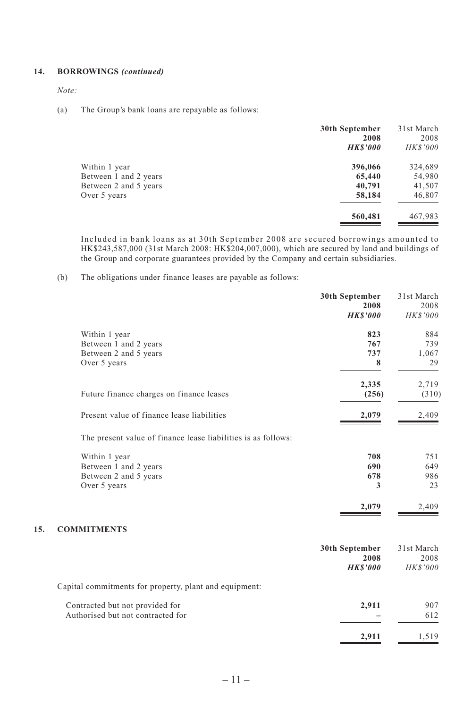#### **14. BORROWINGS** *(continued)*

*Note:*

(a) The Group's bank loans are repayable as follows:

|                       | 30th September<br>2008 | 31st March<br>2008 |
|-----------------------|------------------------|--------------------|
|                       | <b>HKS'000</b>         | <b>HK\$'000</b>    |
| Within 1 year         | 396,066                | 324,689            |
| Between 1 and 2 years | 65,440                 | 54,980             |
| Between 2 and 5 years | 40,791                 | 41,507             |
| Over 5 years          | 58,184                 | 46,807             |
|                       | 560,481                | 467,983            |

Included in bank loans as at 30th September 2008 are secured borrowings amounted to HK\$243,587,000 (31st March 2008: HK\$204,007,000), which are secured by land and buildings of the Group and corporate guarantees provided by the Company and certain subsidiaries.

(b) The obligations under finance leases are payable as follows:

|     |                                                               | 30th September<br>2008 | 31st March<br>2008 |
|-----|---------------------------------------------------------------|------------------------|--------------------|
|     |                                                               | <b>HKS'000</b>         | HK\$'000           |
|     | Within 1 year                                                 | 823                    | 884                |
|     | Between 1 and 2 years                                         | 767                    | 739                |
|     | Between 2 and 5 years                                         | 737                    | 1,067              |
|     | Over 5 years                                                  | 8                      | 29                 |
|     |                                                               | 2,335                  | 2,719              |
|     | Future finance charges on finance leases                      | (256)                  | (310)              |
|     | Present value of finance lease liabilities                    | 2,079                  | 2,409              |
|     | The present value of finance lease liabilities is as follows: |                        |                    |
|     | Within 1 year                                                 | 708                    | 751                |
|     | Between 1 and 2 years                                         | 690                    | 649                |
|     | Between 2 and 5 years                                         | 678                    | 986                |
|     | Over 5 years                                                  | 3                      | 23                 |
|     |                                                               | 2,079                  | 2,409              |
| 15. | <b>COMMITMENTS</b>                                            |                        |                    |
|     |                                                               | 30th September         | 31st March         |
|     |                                                               | 2008                   | 2008               |
|     |                                                               | <b>HKS'000</b>         | <b>HK\$'000</b>    |
|     | Capital commitments for property, plant and equipment:        |                        |                    |
|     | Contracted but not provided for                               | 2,911                  | 907                |
|     | Authorised but not contracted for                             |                        | 612                |
|     |                                                               |                        |                    |

**2,911** 1,519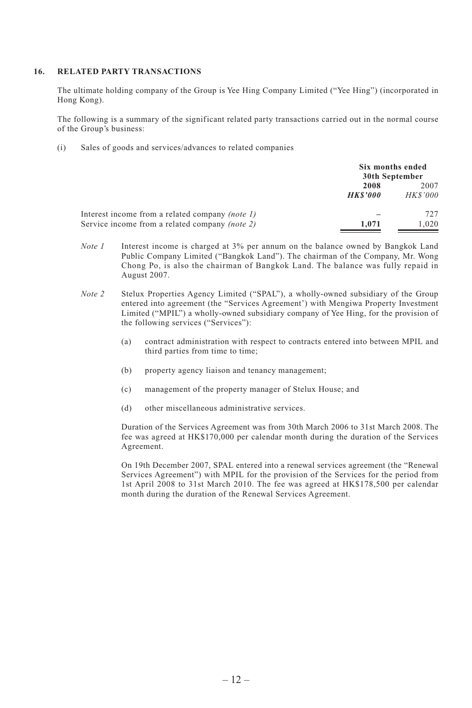#### **16. RELATED PARTY TRANSACTIONS**

The ultimate holding company of the Group is Yee Hing Company Limited ("Yee Hing") (incorporated in Hong Kong).

The following is a summary of the significant related party transactions carried out in the normal course of the Group's business:

(i) Sales of goods and services/advances to related companies

|                                                        | Six months ended<br>30th September |                |
|--------------------------------------------------------|------------------------------------|----------------|
|                                                        | 2008                               | 2007           |
|                                                        | <b>HKS'000</b>                     | <b>HKS'000</b> |
| Interest income from a related company <i>(note 1)</i> |                                    | 727            |
| Service income from a related company <i>(note 2)</i>  | 1.071                              | 1.020          |

- *Note 1* Interest income is charged at 3% per annum on the balance owned by Bangkok Land Public Company Limited ("Bangkok Land"). The chairman of the Company, Mr. Wong Chong Po, is also the chairman of Bangkok Land. The balance was fully repaid in August 2007.
- *Note 2* Stelux Properties Agency Limited ("SPAL"), a wholly-owned subsidiary of the Group entered into agreement (the "Services Agreement') with Mengiwa Property Investment Limited ("MPIL") a wholly-owned subsidiary company of Yee Hing, for the provision of the following services ("Services"):
	- (a) contract administration with respect to contracts entered into between MPIL and third parties from time to time;
	- (b) property agency liaison and tenancy management;
	- (c) management of the property manager of Stelux House; and
	- (d) other miscellaneous administrative services.

Duration of the Services Agreement was from 30th March 2006 to 31st March 2008. The fee was agreed at HK\$170,000 per calendar month during the duration of the Services Agreement.

On 19th December 2007, SPAL entered into a renewal services agreement (the "Renewal Services Agreement") with MPIL for the provision of the Services for the period from 1st April 2008 to 31st March 2010. The fee was agreed at HK\$178,500 per calendar month during the duration of the Renewal Services Agreement.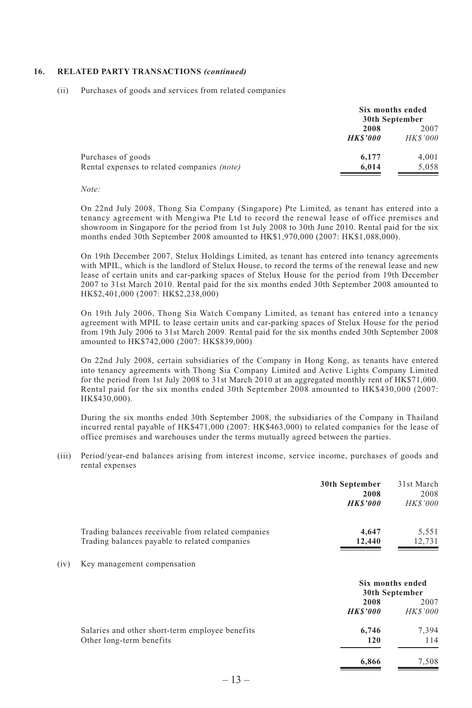#### **16. RELATED PARTY TRANSACTIONS** *(continued)*

(ii) Purchases of goods and services from related companies

|                                                    |                | Six months ended<br>30th September |  |
|----------------------------------------------------|----------------|------------------------------------|--|
|                                                    | 2008           | 2007                               |  |
|                                                    | <b>HKS'000</b> | <b>HK\$'000</b>                    |  |
| Purchases of goods                                 | 6.177          | 4.001                              |  |
| Rental expenses to related companies <i>(note)</i> | 6.014          | 5.058                              |  |

#### *Note:*

On 22nd July 2008, Thong Sia Company (Singapore) Pte Limited, as tenant has entered into a tenancy agreement with Mengiwa Pte Ltd to record the renewal lease of office premises and showroom in Singapore for the period from 1st July 2008 to 30th June 2010. Rental paid for the six months ended 30th September 2008 amounted to HK\$1,970,000 (2007: HK\$1,088,000).

On 19th December 2007, Stelux Holdings Limited, as tenant has entered into tenancy agreements with MPIL, which is the landlord of Stelux House, to record the terms of the renewal lease and new lease of certain units and car-parking spaces of Stelux House for the period from 19th December 2007 to 31st March 2010. Rental paid for the six months ended 30th September 2008 amounted to HK\$2,401,000 (2007: HK\$2,238,000)

On 19th July 2006, Thong Sia Watch Company Limited, as tenant has entered into a tenancy agreement with MPIL to lease certain units and car-parking spaces of Stelux House for the period from 19th July 2006 to 31st March 2009. Rental paid for the six months ended 30th September 2008 amounted to HK\$742,000 (2007: HK\$839,000)

On 22nd July 2008, certain subsidiaries of the Company in Hong Kong, as tenants have entered into tenancy agreements with Thong Sia Company Limited and Active Lights Company Limited for the period from 1st July 2008 to 31st March 2010 at an aggregated monthly rent of HK\$71,000. Rental paid for the six months ended 30th September 2008 amounted to HK\$430,000 (2007: HK\$430,000).

During the six months ended 30th September 2008, the subsidiaries of the Company in Thailand incurred rental payable of HK\$471,000 (2007: HK\$463,000) to related companies for the lease of office premises and warehouses under the terms mutually agreed between the parties.

(iii) Period/year-end balances arising from interest income, service income, purchases of goods and rental expenses

|      |                                                                                                     | 30th September<br>2008<br><b>HKS'000</b> | 31st March<br>2008<br><b>HK\$'000</b> |
|------|-----------------------------------------------------------------------------------------------------|------------------------------------------|---------------------------------------|
|      | Trading balances receivable from related companies<br>Trading balances payable to related companies | 4,647<br>12,440                          | 5,551<br>12,731                       |
| (iv) | Key management compensation                                                                         |                                          |                                       |
|      |                                                                                                     | Six months ended<br>30th September       |                                       |
|      |                                                                                                     | 2008<br><b>HKS'000</b>                   | 2007<br><b>HKS'000</b>                |
|      | Salaries and other short-term employee benefits<br>Other long-term benefits                         | 6,746<br>120                             | 7,394<br>114                          |
|      |                                                                                                     | 6.866                                    | 7,508                                 |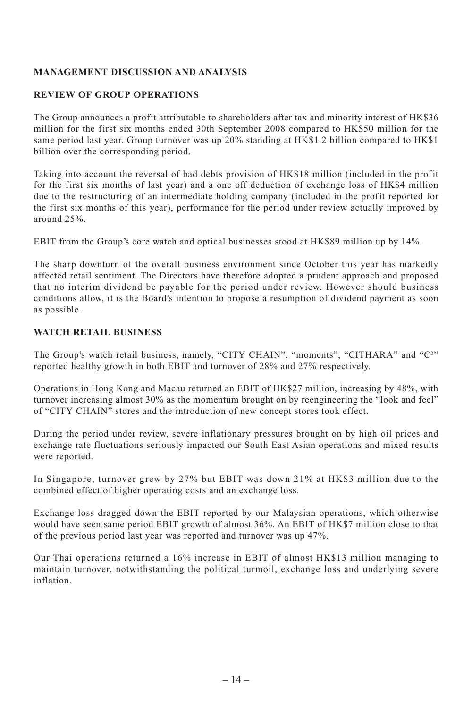# **MANAGEMENT DISCUSSION AND ANALYSIS**

# **REVIEW OF GROUP OPERATIONS**

The Group announces a profit attributable to shareholders after tax and minority interest of HK\$36 million for the first six months ended 30th September 2008 compared to HK\$50 million for the same period last year. Group turnover was up 20% standing at HK\$1.2 billion compared to HK\$1 billion over the corresponding period.

Taking into account the reversal of bad debts provision of HK\$18 million (included in the profit for the first six months of last year) and a one off deduction of exchange loss of HK\$4 million due to the restructuring of an intermediate holding company (included in the profit reported for the first six months of this year), performance for the period under review actually improved by around 25%.

EBIT from the Group's core watch and optical businesses stood at HK\$89 million up by 14%.

The sharp downturn of the overall business environment since October this year has markedly affected retail sentiment. The Directors have therefore adopted a prudent approach and proposed that no interim dividend be payable for the period under review. However should business conditions allow, it is the Board's intention to propose a resumption of dividend payment as soon as possible.

# **WATCH RETAIL BUSINESS**

The Group's watch retail business, namely, "CITY CHAIN", "moments", "CITHARA" and "C<sup>2</sup>" reported healthy growth in both EBIT and turnover of 28% and 27% respectively.

Operations in Hong Kong and Macau returned an EBIT of HK\$27 million, increasing by 48%, with turnover increasing almost 30% as the momentum brought on by reengineering the "look and feel" of "CITY CHAIN" stores and the introduction of new concept stores took effect.

During the period under review, severe inflationary pressures brought on by high oil prices and exchange rate fluctuations seriously impacted our South East Asian operations and mixed results were reported.

In Singapore, turnover grew by 27% but EBIT was down 21% at HK\$3 million due to the combined effect of higher operating costs and an exchange loss.

Exchange loss dragged down the EBIT reported by our Malaysian operations, which otherwise would have seen same period EBIT growth of almost 36%. An EBIT of HK\$7 million close to that of the previous period last year was reported and turnover was up 47%.

Our Thai operations returned a 16% increase in EBIT of almost HK\$13 million managing to maintain turnover, notwithstanding the political turmoil, exchange loss and underlying severe inflation.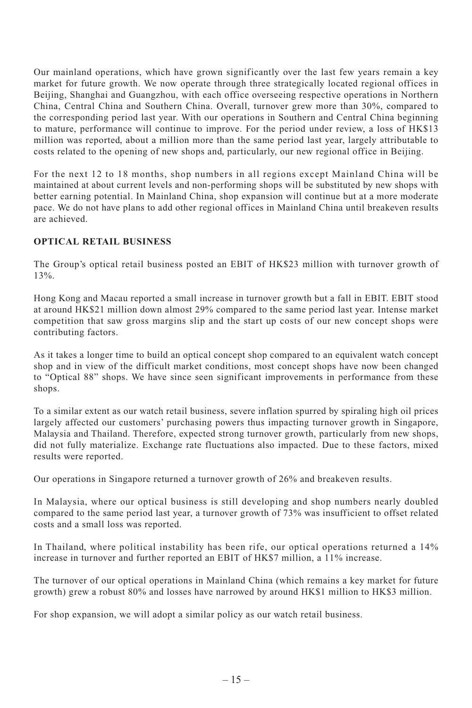Our mainland operations, which have grown significantly over the last few years remain a key market for future growth. We now operate through three strategically located regional offices in Beijing, Shanghai and Guangzhou, with each office overseeing respective operations in Northern China, Central China and Southern China. Overall, turnover grew more than 30%, compared to the corresponding period last year. With our operations in Southern and Central China beginning to mature, performance will continue to improve. For the period under review, a loss of HK\$13 million was reported, about a million more than the same period last year, largely attributable to costs related to the opening of new shops and, particularly, our new regional office in Beijing.

For the next 12 to 18 months, shop numbers in all regions except Mainland China will be maintained at about current levels and non-performing shops will be substituted by new shops with better earning potential. In Mainland China, shop expansion will continue but at a more moderate pace. We do not have plans to add other regional offices in Mainland China until breakeven results are achieved.

# **OPTICAL RETAIL BUSINESS**

The Group's optical retail business posted an EBIT of HK\$23 million with turnover growth of 13%.

Hong Kong and Macau reported a small increase in turnover growth but a fall in EBIT. EBIT stood at around HK\$21 million down almost 29% compared to the same period last year. Intense market competition that saw gross margins slip and the start up costs of our new concept shops were contributing factors.

As it takes a longer time to build an optical concept shop compared to an equivalent watch concept shop and in view of the difficult market conditions, most concept shops have now been changed to "Optical 88" shops. We have since seen significant improvements in performance from these shops.

To a similar extent as our watch retail business, severe inflation spurred by spiraling high oil prices largely affected our customers' purchasing powers thus impacting turnover growth in Singapore, Malaysia and Thailand. Therefore, expected strong turnover growth, particularly from new shops, did not fully materialize. Exchange rate fluctuations also impacted. Due to these factors, mixed results were reported.

Our operations in Singapore returned a turnover growth of 26% and breakeven results.

In Malaysia, where our optical business is still developing and shop numbers nearly doubled compared to the same period last year, a turnover growth of 73% was insufficient to offset related costs and a small loss was reported.

In Thailand, where political instability has been rife, our optical operations returned a 14% increase in turnover and further reported an EBIT of HK\$7 million, a 11% increase.

The turnover of our optical operations in Mainland China (which remains a key market for future growth) grew a robust 80% and losses have narrowed by around HK\$1 million to HK\$3 million.

For shop expansion, we will adopt a similar policy as our watch retail business.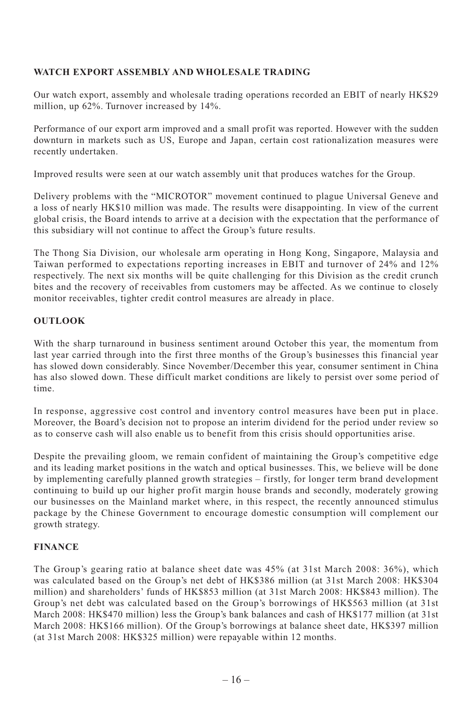# **WATCH EXPORT ASSEMBLY AND WHOLESALE TRADING**

Our watch export, assembly and wholesale trading operations recorded an EBIT of nearly HK\$29 million, up 62%. Turnover increased by 14%.

Performance of our export arm improved and a small profit was reported. However with the sudden downturn in markets such as US, Europe and Japan, certain cost rationalization measures were recently undertaken.

Improved results were seen at our watch assembly unit that produces watches for the Group.

Delivery problems with the "MICROTOR" movement continued to plague Universal Geneve and a loss of nearly HK\$10 million was made. The results were disappointing. In view of the current global crisis, the Board intends to arrive at a decision with the expectation that the performance of this subsidiary will not continue to affect the Group's future results.

The Thong Sia Division, our wholesale arm operating in Hong Kong, Singapore, Malaysia and Taiwan performed to expectations reporting increases in EBIT and turnover of 24% and 12% respectively. The next six months will be quite challenging for this Division as the credit crunch bites and the recovery of receivables from customers may be affected. As we continue to closely monitor receivables, tighter credit control measures are already in place.

# **OUTLOOK**

With the sharp turnaround in business sentiment around October this year, the momentum from last year carried through into the first three months of the Group's businesses this financial year has slowed down considerably. Since November/December this year, consumer sentiment in China has also slowed down. These difficult market conditions are likely to persist over some period of time.

In response, aggressive cost control and inventory control measures have been put in place. Moreover, the Board's decision not to propose an interim dividend for the period under review so as to conserve cash will also enable us to benefit from this crisis should opportunities arise.

Despite the prevailing gloom, we remain confident of maintaining the Group's competitive edge and its leading market positions in the watch and optical businesses. This, we believe will be done by implementing carefully planned growth strategies – firstly, for longer term brand development continuing to build up our higher profit margin house brands and secondly, moderately growing our businesses on the Mainland market where, in this respect, the recently announced stimulus package by the Chinese Government to encourage domestic consumption will complement our growth strategy.

# **FINANCE**

The Group's gearing ratio at balance sheet date was 45% (at 31st March 2008: 36%), which was calculated based on the Group's net debt of HK\$386 million (at 31st March 2008: HK\$304 million) and shareholders' funds of HK\$853 million (at 31st March 2008: HK\$843 million). The Group's net debt was calculated based on the Group's borrowings of HK\$563 million (at 31st March 2008: HK\$470 million) less the Group's bank balances and cash of HK\$177 million (at 31st March 2008: HK\$166 million). Of the Group's borrowings at balance sheet date, HK\$397 million (at 31st March 2008: HK\$325 million) were repayable within 12 months.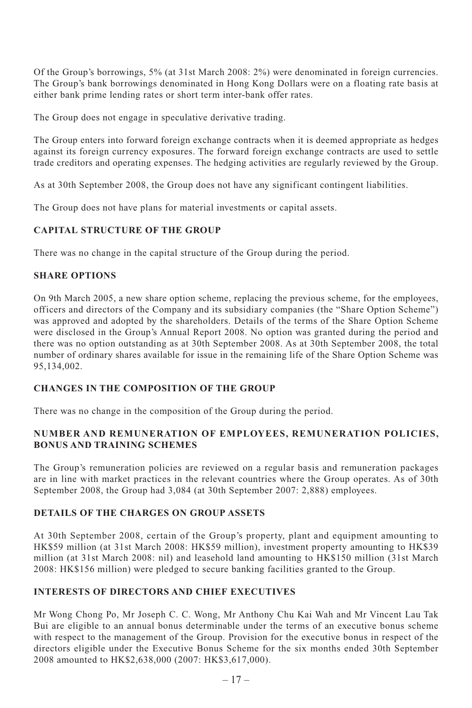Of the Group's borrowings, 5% (at 31st March 2008: 2%) were denominated in foreign currencies. The Group's bank borrowings denominated in Hong Kong Dollars were on a floating rate basis at either bank prime lending rates or short term inter-bank offer rates.

The Group does not engage in speculative derivative trading.

The Group enters into forward foreign exchange contracts when it is deemed appropriate as hedges against its foreign currency exposures. The forward foreign exchange contracts are used to settle trade creditors and operating expenses. The hedging activities are regularly reviewed by the Group.

As at 30th September 2008, the Group does not have any significant contingent liabilities.

The Group does not have plans for material investments or capital assets.

### **CAPITAL STRUCTURE OF THE GROUP**

There was no change in the capital structure of the Group during the period.

#### **SHARE OPTIONS**

On 9th March 2005, a new share option scheme, replacing the previous scheme, for the employees, officers and directors of the Company and its subsidiary companies (the "Share Option Scheme") was approved and adopted by the shareholders. Details of the terms of the Share Option Scheme were disclosed in the Group's Annual Report 2008. No option was granted during the period and there was no option outstanding as at 30th September 2008. As at 30th September 2008, the total number of ordinary shares available for issue in the remaining life of the Share Option Scheme was 95,134,002.

# **CHANGES IN THE COMPOSITION OF THE GROUP**

There was no change in the composition of the Group during the period.

# **NUMBER AND REMUNERATION OF EMPLOYEES, REMUNERATION POLICIES, BONUS AND TRAINING SCHEMES**

The Group's remuneration policies are reviewed on a regular basis and remuneration packages are in line with market practices in the relevant countries where the Group operates. As of 30th September 2008, the Group had 3,084 (at 30th September 2007: 2,888) employees.

# **DETAILS OF THE CHARGES ON GROUP ASSETS**

At 30th September 2008, certain of the Group's property, plant and equipment amounting to HK\$59 million (at 31st March 2008: HK\$59 million), investment property amounting to HK\$39 million (at 31st March 2008: nil) and leasehold land amounting to HK\$150 million (31st March 2008: HK\$156 million) were pledged to secure banking facilities granted to the Group.

# **INTERESTS OF DIRECTORS AND CHIEF EXECUTIVES**

Mr Wong Chong Po, Mr Joseph C. C. Wong, Mr Anthony Chu Kai Wah and Mr Vincent Lau Tak Bui are eligible to an annual bonus determinable under the terms of an executive bonus scheme with respect to the management of the Group. Provision for the executive bonus in respect of the directors eligible under the Executive Bonus Scheme for the six months ended 30th September 2008 amounted to HK\$2,638,000 (2007: HK\$3,617,000).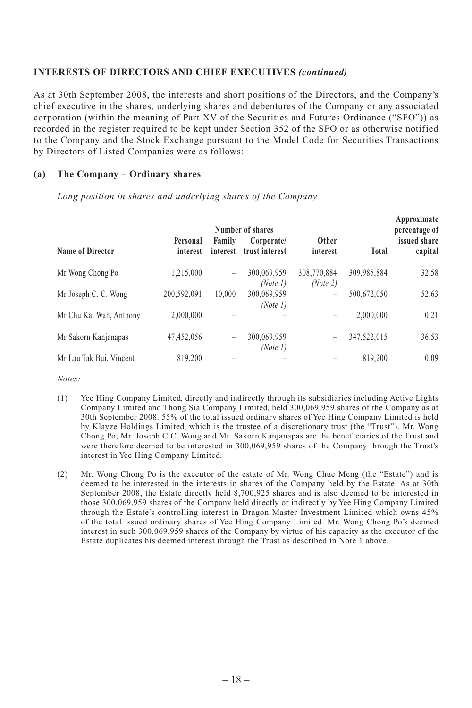#### **INTERESTS OF DIRECTORS AND CHIEF EXECUTIVES** *(continued)*

As at 30th September 2008, the interests and short positions of the Directors, and the Company's chief executive in the shares, underlying shares and debentures of the Company or any associated corporation (within the meaning of Part XV of the Securities and Futures Ordinance ("SFO")) as recorded in the register required to be kept under Section 352 of the SFO or as otherwise notified to the Company and the Stock Exchange pursuant to the Model Code for Securities Transactions by Directors of Listed Companies were as follows:

#### **(a) The Company – Ordinary shares**

*Long position in shares and underlying shares of the Company*

|                         | Number of shares     |                                                                           |                              |                         |             | Approximate<br>percentage of |
|-------------------------|----------------------|---------------------------------------------------------------------------|------------------------------|-------------------------|-------------|------------------------------|
| Name of Director        | Personal<br>interest | Family<br>interest                                                        | Corporate/<br>trust interest | Other<br>interest       | Total       | issued share<br>capital      |
| Mr Wong Chong Po        | 1,215,000            | $\hspace{1.0cm} \rule{1.5cm}{0.15cm} \hspace{1.0cm} \rule{1.5cm}{0.15cm}$ | 300,069,959<br>(Note 1)      | 308,770,884<br>(Note 2) | 309,985,884 | 32.58                        |
| Mr Joseph C. C. Wong    | 200,592,091          | 10.000                                                                    | 300,069,959<br>(Note 1)      | -                       | 500,672,050 | 52.63                        |
| Mr Chu Kai Wah, Anthony | 2,000,000            |                                                                           |                              | -                       | 2.000.000   | 0.21                         |
| Mr Sakorn Kanjanapas    | 47,452,056           | $\hspace{1.0cm} \rule{1.5cm}{0.15cm} \hspace{1.0cm} \rule{1.5cm}{0.15cm}$ | 300,069,959<br>(Note 1)      | -                       | 347,522,015 | 36.53                        |
| Mr Lau Tak Bui, Vincent | 819,200              |                                                                           |                              |                         | 819.200     | 0.09                         |

*Notes:*

- (1) Yee Hing Company Limited, directly and indirectly through its subsidiaries including Active Lights Company Limited and Thong Sia Company Limited, held 300,069,959 shares of the Company as at 30th September 2008. 55% of the total issued ordinary shares of Yee Hing Company Limited is held by Klayze Holdings Limited, which is the trustee of a discretionary trust (the "Trust"). Mr. Wong Chong Po, Mr. Joseph C.C. Wong and Mr. Sakorn Kanjanapas are the beneficiaries of the Trust and were therefore deemed to be interested in 300,069,959 shares of the Company through the Trust's interest in Yee Hing Company Limited.
- (2) Mr. Wong Chong Po is the executor of the estate of Mr. Wong Chue Meng (the "Estate") and is deemed to be interested in the interests in shares of the Company held by the Estate. As at 30th September 2008, the Estate directly held 8,700,925 shares and is also deemed to be interested in those 300,069,959 shares of the Company held directly or indirectly by Yee Hing Company Limited through the Estate's controlling interest in Dragon Master Investment Limited which owns 45% of the total issued ordinary shares of Yee Hing Company Limited. Mr. Wong Chong Po's deemed interest in such 300,069,959 shares of the Company by virtue of his capacity as the executor of the Estate duplicates his deemed interest through the Trust as described in Note 1 above.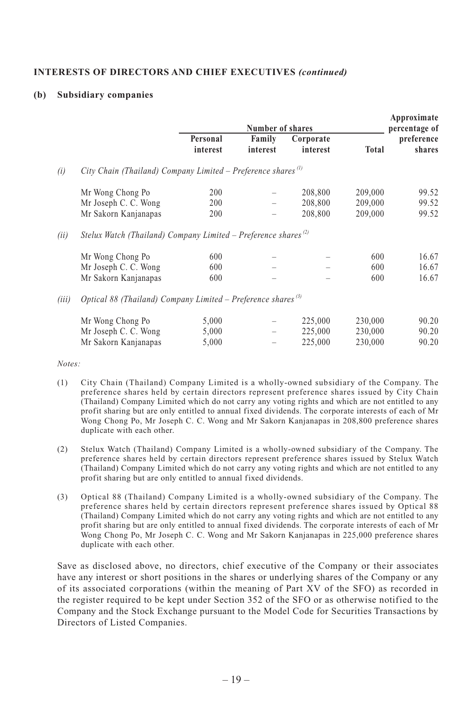#### **INTERESTS OF DIRECTORS AND CHIEF EXECUTIVES** *(continued)*

#### **(b) Subsidiary companies**

|       |                                                                            | Number of shares     |                    | Approximate<br>percentage of |         |                      |
|-------|----------------------------------------------------------------------------|----------------------|--------------------|------------------------------|---------|----------------------|
|       |                                                                            | Personal<br>interest | Family<br>interest | Corporate<br>interest        | Total   | preference<br>shares |
| (i)   | City Chain (Thailand) Company Limited – Preference shares <sup>(1)</sup>   |                      |                    |                              |         |                      |
|       | Mr Wong Chong Po                                                           | 200                  |                    | 208,800                      | 209,000 | 99.52                |
|       | Mr Joseph C. C. Wong                                                       | 200                  |                    | 208,800                      | 209,000 | 99.52                |
|       | Mr Sakorn Kanjanapas                                                       | 200                  |                    | 208,800                      | 209,000 | 99.52                |
| (ii)  | Stelux Watch (Thailand) Company Limited – Preference shares <sup>(2)</sup> |                      |                    |                              |         |                      |
|       | Mr Wong Chong Po                                                           | 600                  |                    |                              | 600     | 16.67                |
|       | Mr Joseph C. C. Wong                                                       | 600                  |                    |                              | 600     | 16.67                |
|       | Mr Sakorn Kanjanapas                                                       | 600                  |                    |                              | 600     | 16.67                |
| (iii) | Optical 88 (Thailand) Company Limited – Preference shares <sup>(3)</sup>   |                      |                    |                              |         |                      |
|       | Mr Wong Chong Po                                                           | 5,000                |                    | 225,000                      | 230,000 | 90.20                |
|       | Mr Joseph C. C. Wong                                                       | 5,000                |                    | 225,000                      | 230,000 | 90.20                |
|       | Mr Sakorn Kanjanapas                                                       | 5,000                |                    | 225,000                      | 230,000 | 90.20                |

*Notes:*

- (1) City Chain (Thailand) Company Limited is a wholly-owned subsidiary of the Company. The preference shares held by certain directors represent preference shares issued by City Chain (Thailand) Company Limited which do not carry any voting rights and which are not entitled to any profit sharing but are only entitled to annual fixed dividends. The corporate interests of each of Mr Wong Chong Po, Mr Joseph C. C. Wong and Mr Sakorn Kanjanapas in 208,800 preference shares duplicate with each other.
- (2) Stelux Watch (Thailand) Company Limited is a wholly-owned subsidiary of the Company. The preference shares held by certain directors represent preference shares issued by Stelux Watch (Thailand) Company Limited which do not carry any voting rights and which are not entitled to any profit sharing but are only entitled to annual fixed dividends.
- (3) Optical 88 (Thailand) Company Limited is a wholly-owned subsidiary of the Company. The preference shares held by certain directors represent preference shares issued by Optical 88 (Thailand) Company Limited which do not carry any voting rights and which are not entitled to any profit sharing but are only entitled to annual fixed dividends. The corporate interests of each of Mr Wong Chong Po, Mr Joseph C. C. Wong and Mr Sakorn Kanjanapas in 225,000 preference shares duplicate with each other.

Save as disclosed above, no directors, chief executive of the Company or their associates have any interest or short positions in the shares or underlying shares of the Company or any of its associated corporations (within the meaning of Part XV of the SFO) as recorded in the register required to be kept under Section 352 of the SFO or as otherwise notified to the Company and the Stock Exchange pursuant to the Model Code for Securities Transactions by Directors of Listed Companies.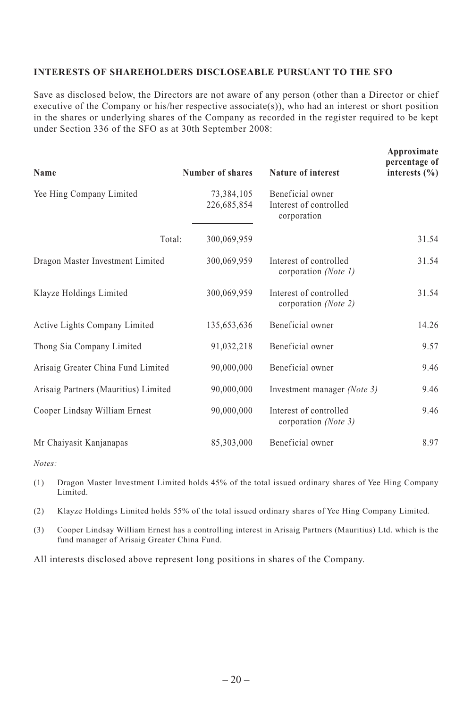#### **INTERESTS OF SHAREHOLDERS DISCLOSEABLE PURSUANT TO THE SFO**

Save as disclosed below, the Directors are not aware of any person (other than a Director or chief executive of the Company or his/her respective associate(s)), who had an interest or short position in the shares or underlying shares of the Company as recorded in the register required to be kept under Section 336 of the SFO as at 30th September 2008:

| Name                                 | Number of shares          | Nature of interest                                        | Approximate<br>percentage of<br>interests $(\% )$ |
|--------------------------------------|---------------------------|-----------------------------------------------------------|---------------------------------------------------|
| Yee Hing Company Limited             | 73,384,105<br>226,685,854 | Beneficial owner<br>Interest of controlled<br>corporation |                                                   |
| Total:                               | 300,069,959               |                                                           | 31.54                                             |
| Dragon Master Investment Limited     | 300,069,959               | Interest of controlled<br>corporation (Note 1)            | 31.54                                             |
| Klayze Holdings Limited              | 300,069,959               | Interest of controlled<br>corporation (Note 2)            | 31.54                                             |
| Active Lights Company Limited        | 135,653,636               | Beneficial owner                                          | 14.26                                             |
| Thong Sia Company Limited            | 91,032,218                | Beneficial owner                                          | 9.57                                              |
| Arisaig Greater China Fund Limited   | 90,000,000                | Beneficial owner                                          | 9.46                                              |
| Arisaig Partners (Mauritius) Limited | 90,000,000                | Investment manager (Note 3)                               | 9.46                                              |
| Cooper Lindsay William Ernest        | 90,000,000                | Interest of controlled<br>corporation (Note 3)            | 9.46                                              |
| Mr Chaiyasit Kanjanapas              | 85,303,000                | Beneficial owner                                          | 8.97                                              |

*Notes:*

(1) Dragon Master Investment Limited holds 45% of the total issued ordinary shares of Yee Hing Company Limited.

(2) Klayze Holdings Limited holds 55% of the total issued ordinary shares of Yee Hing Company Limited.

(3) Cooper Lindsay William Ernest has a controlling interest in Arisaig Partners (Mauritius) Ltd. which is the fund manager of Arisaig Greater China Fund.

All interests disclosed above represent long positions in shares of the Company.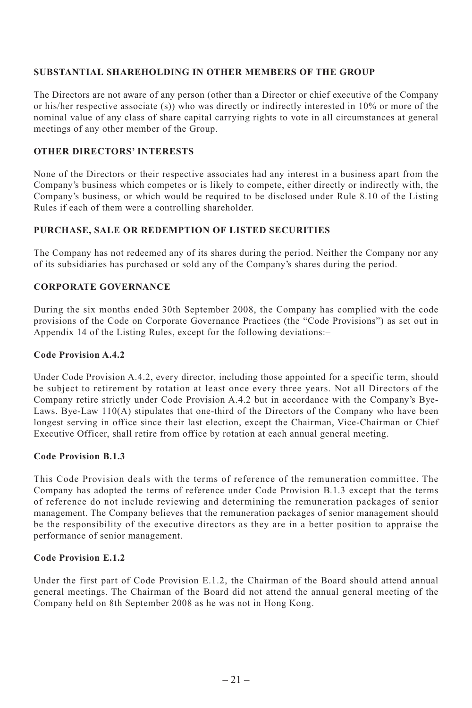# **SUBSTANTIAL SHAREHOLDING IN OTHER MEMBERS OF THE GROUP**

The Directors are not aware of any person (other than a Director or chief executive of the Company or his/her respective associate (s)) who was directly or indirectly interested in 10% or more of the nominal value of any class of share capital carrying rights to vote in all circumstances at general meetings of any other member of the Group.

# **OTHER DIRECTORS' INTERESTS**

None of the Directors or their respective associates had any interest in a business apart from the Company's business which competes or is likely to compete, either directly or indirectly with, the Company's business, or which would be required to be disclosed under Rule 8.10 of the Listing Rules if each of them were a controlling shareholder.

# **PURCHASE, SALE OR REDEMPTION OF LISTED SECURITIES**

The Company has not redeemed any of its shares during the period. Neither the Company nor any of its subsidiaries has purchased or sold any of the Company's shares during the period.

# **CORPORATE GOVERNANCE**

During the six months ended 30th September 2008, the Company has complied with the code provisions of the Code on Corporate Governance Practices (the "Code Provisions") as set out in Appendix 14 of the Listing Rules, except for the following deviations:–

#### **Code Provision A.4.2**

Under Code Provision A.4.2, every director, including those appointed for a specific term, should be subject to retirement by rotation at least once every three years. Not all Directors of the Company retire strictly under Code Provision A.4.2 but in accordance with the Company's Bye-Laws. Bye-Law 110(A) stipulates that one-third of the Directors of the Company who have been longest serving in office since their last election, except the Chairman, Vice-Chairman or Chief Executive Officer, shall retire from office by rotation at each annual general meeting.

# **Code Provision B.1.3**

This Code Provision deals with the terms of reference of the remuneration committee. The Company has adopted the terms of reference under Code Provision B.1.3 except that the terms of reference do not include reviewing and determining the remuneration packages of senior management. The Company believes that the remuneration packages of senior management should be the responsibility of the executive directors as they are in a better position to appraise the performance of senior management.

# **Code Provision E.1.2**

Under the first part of Code Provision E.1.2, the Chairman of the Board should attend annual general meetings. The Chairman of the Board did not attend the annual general meeting of the Company held on 8th September 2008 as he was not in Hong Kong.